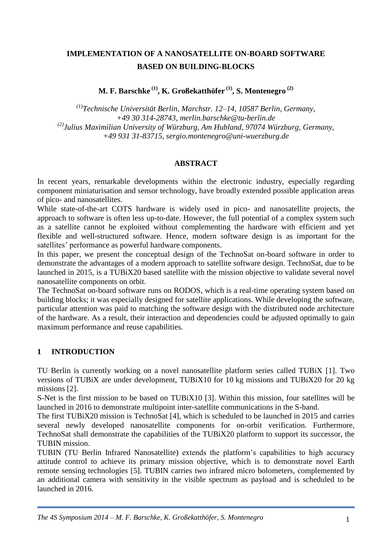# **IMPLEMENTATION OF A NANOSATELLITE ON-BOARD SOFTWARE BASED ON BUILDING-BLOCKS**

**M. F. Barschke (1) , K. Großekatthöfer (1) , S. Montenegro (2)**

*(1)Technische Universität Berlin, Marchstr. 12–14, 10587 Berlin, Germany, +49 30 314-28743, merlin.barschke@tu-berlin.de (2)Julius Maximilian University of Würzburg, Am Hubland, 97074 Würzburg, Germany, +49 931 31-83715, sergio.montenegro@uni-wuerzburg.de*

#### **ABSTRACT**

In recent years, remarkable developments within the electronic industry, especially regarding component miniaturisation and sensor technology, have broadly extended possible application areas of pico- and nanosatellites.

While state-of-the-art COTS hardware is widely used in pico- and nanosatellite projects, the approach to software is often less up-to-date. However, the full potential of a complex system such as a satellite cannot be exploited without complementing the hardware with efficient and yet flexible and well-structured software. Hence, modern software design is as important for the satellites' performance as powerful hardware components.

In this paper, we present the conceptual design of the TechnoSat on-board software in order to demonstrate the advantages of a modern approach to satellite software design. TechnoSat, due to be launched in 2015, is a TUBiX20 based satellite with the mission objective to validate several novel nanosatellite components on orbit.

The TechnoSat on-board software runs on RODOS, which is a real-time operating system based on building blocks; it was especially designed for satellite applications. While developing the software, particular attention was paid to matching the software design with the distributed node architecture of the hardware. As a result, their interaction and dependencies could be adjusted optimally to gain maximum performance and reuse capabilities.

## **1 INTRODUCTION**

TU Berlin is currently working on a novel nanosatellite platform series called TUBiX [1]. Two versions of TUBiX are under development, TUBiX10 for 10 kg missions and TUBiX20 for 20 kg missions [2].

S-Net is the first mission to be based on TUBiX10 [3]. Within this mission, four satellites will be launched in 2016 to demonstrate multipoint inter-satellite communications in the S-band.

The first TUBiX20 mission is TechnoSat [4], which is scheduled to be launched in 2015 and carries several newly developed nanosatellite components for on-orbit verification. Furthermore, TechnoSat shall demonstrate the capabilities of the TUBiX20 platform to support its successor, the TUBIN mission.

TUBIN (TU Berlin Infrared Nanosatellite) extends the platform's capabilities to high accuracy attitude control to achieve its primary mission objective, which is to demonstrate novel Earth remote sensing technologies [5]. TUBIN carries two infrared micro bolometers, complemented by an additional camera with sensitivity in the visible spectrum as payload and is scheduled to be launched in 2016.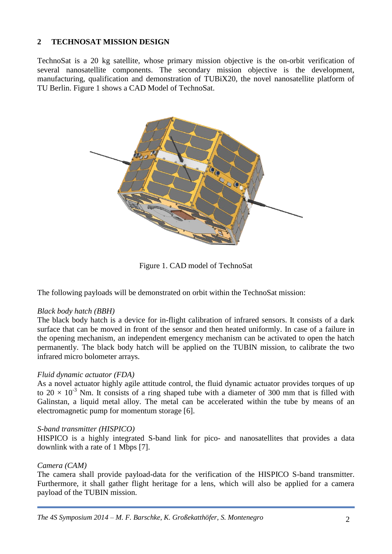## **2 TECHNOSAT MISSION DESIGN**

TechnoSat is a 20 kg satellite, whose primary mission objective is the on-orbit verification of several nanosatellite components. The secondary mission objective is the development, manufacturing, qualification and demonstration of TUBiX20, the novel nanosatellite platform of TU Berlin. Figure 1 shows a CAD Model of TechnoSat.



Figure 1. CAD model of TechnoSat

The following payloads will be demonstrated on orbit within the TechnoSat mission:

## *Black body hatch (BBH)*

The black body hatch is a device for in-flight calibration of infrared sensors. It consists of a dark surface that can be moved in front of the sensor and then heated uniformly. In case of a failure in the opening mechanism, an independent emergency mechanism can be activated to open the hatch permanently. The black body hatch will be applied on the TUBIN mission, to calibrate the two infrared micro bolometer arrays.

## *Fluid dynamic actuator (FDA)*

As a novel actuator highly agile attitude control, the fluid dynamic actuator provides torques of up to  $20 \times 10^{-3}$  Nm. It consists of a ring shaped tube with a diameter of 300 mm that is filled with Galinstan, a liquid metal alloy. The metal can be accelerated within the tube by means of an electromagnetic pump for momentum storage [6].

#### *S-band transmitter (HISPICO)*

HISPICO is a highly integrated S-band link for pico- and nanosatellites that provides a data downlink with a rate of 1 Mbps [7].

## *Camera (CAM)*

The camera shall provide payload-data for the verification of the HISPICO S-band transmitter. Furthermore, it shall gather flight heritage for a lens, which will also be applied for a camera payload of the TUBIN mission.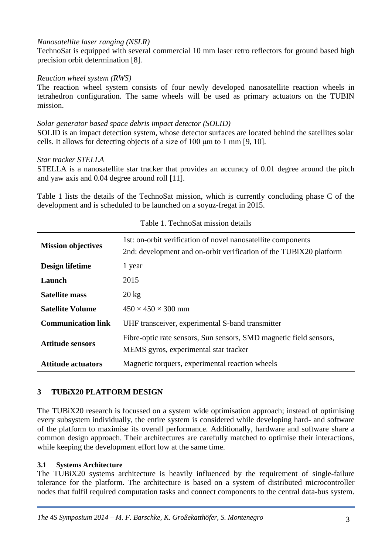## *Nanosatellite laser ranging (NSLR)*

TechnoSat is equipped with several commercial 10 mm laser retro reflectors for ground based high precision orbit determination [8].

#### *Reaction wheel system (RWS)*

The reaction wheel system consists of four newly developed nanosatellite reaction wheels in tetrahedron configuration. The same wheels will be used as primary actuators on the TUBIN mission.

#### *Solar generator based space debris impact detector (SOLID)*

SOLID is an impact detection system, whose detector surfaces are located behind the satellites solar cells. It allows for detecting objects of a size of 100 μm to 1 mm [9, 10].

#### *Star tracker STELLA*

STELLA is a nanosatellite star tracker that provides an accuracy of 0.01 degree around the pitch and yaw axis and 0.04 degree around roll [11].

Table 1 lists the details of the TechnoSat mission, which is currently concluding phase C of the development and is scheduled to be launched on a soyuz-fregat in 2015.

| <b>Mission objectives</b> | 1st: on-orbit verification of novel nanosatellite components<br>2nd: development and on-orbit verification of the TUBiX20 platform |
|---------------------------|------------------------------------------------------------------------------------------------------------------------------------|
| Design lifetime           | 1 year                                                                                                                             |
| Launch                    | 2015                                                                                                                               |
| <b>Satellite mass</b>     | $20 \text{ kg}$                                                                                                                    |
| <b>Satellite Volume</b>   | $450 \times 450 \times 300$ mm                                                                                                     |
| <b>Communication link</b> | UHF transceiver, experimental S-band transmitter                                                                                   |
| <b>Attitude sensors</b>   | Fibre-optic rate sensors, Sun sensors, SMD magnetic field sensors,<br>MEMS gyros, experimental star tracker                        |
| <b>Attitude actuators</b> | Magnetic torquers, experimental reaction wheels                                                                                    |

Table 1. TechnoSat mission details

#### **3 TUBiX20 PLATFORM DESIGN**

The TUBiX20 research is focussed on a system wide optimisation approach; instead of optimising every subsystem individually, the entire system is considered while developing hard- and software of the platform to maximise its overall performance. Additionally, hardware and software share a common design approach. Their architectures are carefully matched to optimise their interactions, while keeping the development effort low at the same time.

#### <span id="page-2-0"></span>**3.1 Systems Architecture**

The TUBiX20 systems architecture is heavily influenced by the requirement of single-failure tolerance for the platform. The architecture is based on a system of distributed microcontroller nodes that fulfil required computation tasks and connect components to the central data-bus system.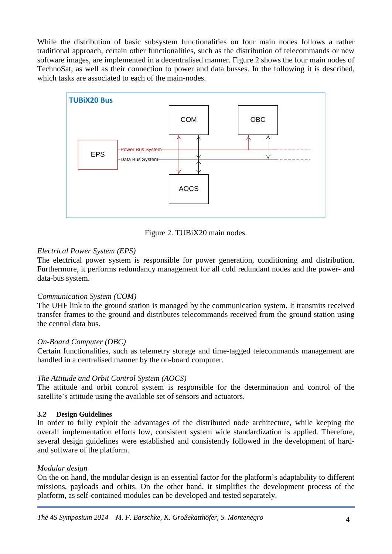While the distribution of basic subsystem functionalities on four main nodes follows a rather traditional approach, certain other functionalities, such as the distribution of telecommands or new software images, are implemented in a decentralised manner. Figure 2 shows the four main nodes of TechnoSat, as well as their connection to power and data busses. In the following it is described, which tasks are associated to each of the main-nodes.



Figure 2. TUBiX20 main nodes.

## *Electrical Power System (EPS)*

The electrical power system is responsible for power generation, conditioning and distribution. Furthermore, it performs redundancy management for all cold redundant nodes and the power- and data-bus system.

## *Communication System (COM)*

The UHF link to the ground station is managed by the communication system. It transmits received transfer frames to the ground and distributes telecommands received from the ground station using the central data bus.

## *On-Board Computer (OBC)*

Certain functionalities, such as telemetry storage and time-tagged telecommands management are handled in a centralised manner by the on-board computer.

## *The Attitude and Orbit Control System (AOCS)*

The attitude and orbit control system is responsible for the determination and control of the satellite's attitude using the available set of sensors and actuators.

## <span id="page-3-0"></span>**3.2 Design Guidelines**

In order to fully exploit the advantages of the distributed node architecture, while keeping the overall implementation efforts low, consistent system wide standardization is applied. Therefore, several design guidelines were established and consistently followed in the development of hardand software of the platform.

## *Modular design*

On the on hand, the modular design is an essential factor for the platform's adaptability to different missions, payloads and orbits. On the other hand, it simplifies the development process of the platform, as self-contained modules can be developed and tested separately.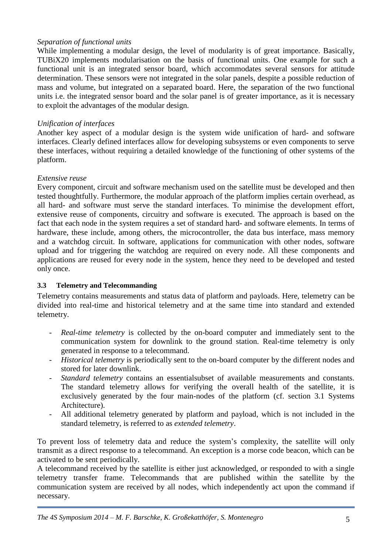## *Separation of functional units*

While implementing a modular design, the level of modularity is of great importance. Basically, TUBiX20 implements modularisation on the basis of functional units. One example for such a functional unit is an integrated sensor board, which accommodates several sensors for attitude determination. These sensors were not integrated in the solar panels, despite a possible reduction of mass and volume, but integrated on a separated board. Here, the separation of the two functional units i.e. the integrated sensor board and the solar panel is of greater importance, as it is necessary to exploit the advantages of the modular design.

#### *Unification of interfaces*

Another key aspect of a modular design is the system wide unification of hard- and software interfaces. Clearly defined interfaces allow for developing subsystems or even components to serve these interfaces, without requiring a detailed knowledge of the functioning of other systems of the platform.

#### *Extensive reuse*

Every component, circuit and software mechanism used on the satellite must be developed and then tested thoughtfully. Furthermore, the modular approach of the platform implies certain overhead, as all hard- and software must serve the standard interfaces. To minimise the development effort, extensive reuse of components, circuitry and software is executed. The approach is based on the fact that each node in the system requires a set of standard hard- and software elements. In terms of hardware, these include, among others, the microcontroller, the data bus interface, mass memory and a watchdog circuit. In software, applications for communication with other nodes, software upload and for triggering the watchdog are required on every node. All these components and applications are reused for every node in the system, hence they need to be developed and tested only once.

## **3.3 Telemetry and Telecommanding**

Telemetry contains measurements and status data of platform and payloads. Here, telemetry can be divided into real-time and historical telemetry and at the same time into standard and extended telemetry.

- *Real-time telemetry* is collected by the on-board computer and immediately sent to the communication system for downlink to the ground station. Real-time telemetry is only generated in response to a telecommand.
- *Historical telemetry* is periodically sent to the on-board computer by the different nodes and stored for later downlink.
- *Standard telemetry* contains an essentialsubset of available measurements and constants. The standard telemetry allows for verifying the overall health of the satellite, it is exclusively generated by the four main-nodes of the platform (cf. section [3.1](#page-2-0) [Systems](#page-2-0) [Architecture\)](#page-2-0).
- All additional telemetry generated by platform and payload, which is not included in the standard telemetry, is referred to as *extended telemetry*.

To prevent loss of telemetry data and reduce the system's complexity, the satellite will only transmit as a direct response to a telecommand. An exception is a morse code beacon, which can be activated to be sent periodically.

A telecommand received by the satellite is either just acknowledged, or responded to with a single telemetry transfer frame. Telecommands that are published within the satellite by the communication system are received by all nodes, which independently act upon the command if necessary.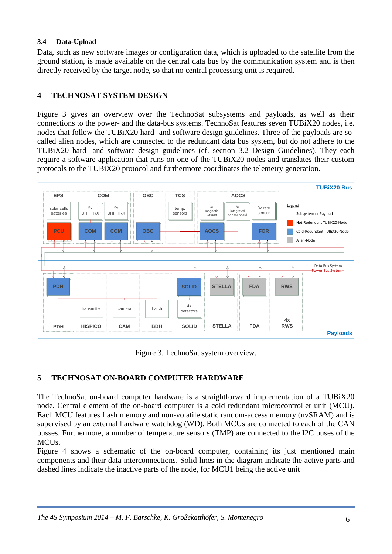## **3.4 Data-Upload**

Data, such as new software images or configuration data, which is uploaded to the satellite from the ground station, is made available on the central data bus by the communication system and is then directly received by the target node, so that no central processing unit is required.

## **4 TECHNOSAT SYSTEM DESIGN**

Figure 3 gives an overview over the TechnoSat subsystems and payloads, as well as their connections to the power- and the data-bus systems. TechnoSat features seven TUBiX20 nodes, i.e. nodes that follow the TUBiX20 hard- and software design guidelines. Three of the payloads are socalled alien nodes, which are connected to the redundant data bus system, but do not adhere to the TUBiX20 hard- and software design guidelines (cf. section [3.2](#page-3-0) [Design Guidelines\)](#page-3-0). They each require a software application that runs on one of the TUBiX20 nodes and translates their custom protocols to the TUBiX20 protocol and furthermore coordinates the telemetry generation.



Figure 3. TechnoSat system overview.

## <span id="page-5-0"></span>**5 TECHNOSAT ON-BOARD COMPUTER HARDWARE**

The TechnoSat on-board computer hardware is a straightforward implementation of a TUBiX20 node. Central element of the on-board computer is a cold redundant microcontroller unit (MCU). Each MCU features flash memory and non-volatile static random-access memory (nvSRAM) and is supervised by an external hardware watchdog (WD). Both MCUs are connected to each of the CAN busses. Furthermore, a number of temperature sensors (TMP) are connected to the I2C buses of the MCUs.

Figure 4 shows a schematic of the on-board computer, containing its just mentioned main components and their data interconnections. Solid lines in the diagram indicate the active parts and dashed lines indicate the inactive parts of the node, for MCU1 being the active unit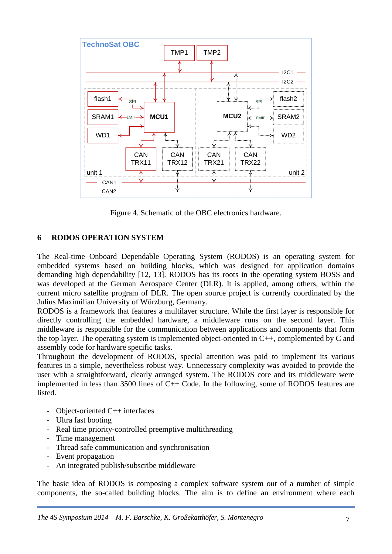

Figure 4. Schematic of the OBC electronics hardware.

## **6 RODOS OPERATION SYSTEM**

The Real-time Onboard Dependable Operating System (RODOS) is an operating system for embedded systems based on building blocks, which was designed for application domains demanding high dependability [12, 13]. RODOS has its roots in the operating system BOSS and was developed at the German Aerospace Center (DLR). It is applied, among others, within the current micro satellite program of DLR. The open source project is currently coordinated by the Julius Maximilian University of Würzburg, Germany.

RODOS is a framework that features a multilayer structure. While the first layer is responsible for directly controlling the embedded hardware, a middleware runs on the second layer. This middleware is responsible for the communication between applications and components that form the top layer. The operating system is implemented object-oriented in C++, complemented by C and assembly code for hardware specific tasks.

Throughout the development of RODOS, special attention was paid to implement its various features in a simple, nevertheless robust way. Unnecessary complexity was avoided to provide the user with a straightforward, clearly arranged system. The RODOS core and its middleware were implemented in less than 3500 lines of C++ Code. In the following, some of RODOS features are listed.

- Object-oriented C++ interfaces
- Ultra fast booting
- Real time priority-controlled preemptive multithreading
- Time management
- Thread safe communication and synchronisation
- Event propagation
- An integrated publish/subscribe middleware

The basic idea of RODOS is composing a complex software system out of a number of simple components, the so-called building blocks. The aim is to define an environment where each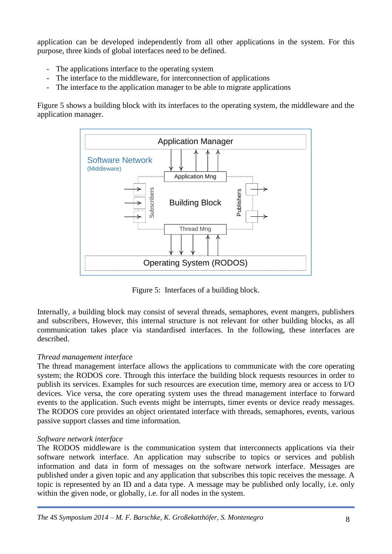application can be developed independently from all other applications in the system. For this purpose, three kinds of global interfaces need to be defined.

- The applications interface to the operating system
- The interface to the middleware, for interconnection of applications
- The interface to the application manager to be able to migrate applications

Figure 5 shows a building block with its interfaces to the operating system, the middleware and the application manager.



Figure 5: Interfaces of a building block.

Internally, a building block may consist of several threads, semaphores, event mangers, publishers and subscribers, However, this internal structure is not relevant for other building blocks, as all communication takes place via standardised interfaces. In the following, these interfaces are described.

## *Thread management interface*

The thread management interface allows the applications to communicate with the core operating system; the RODOS core. Through this interface the building block requests resources in order to publish its services. Examples for such resources are execution time, memory area or access to I/O devices. Vice versa, the core operating system uses the thread management interface to forward events to the application. Such events might be interrupts, timer events or device ready messages. The RODOS core provides an object orientated interface with threads, semaphores, events, various passive support classes and time information.

## *Software network interface*

The RODOS middleware is the communication system that interconnects applications via their software network interface. An application may subscribe to topics or services and publish information and data in form of messages on the software network interface. Messages are published under a given topic and any application that subscribes this topic receives the message. A topic is represented by an ID and a data type. A message may be published only locally, i.e. only within the given node, or globally, i.e. for all nodes in the system.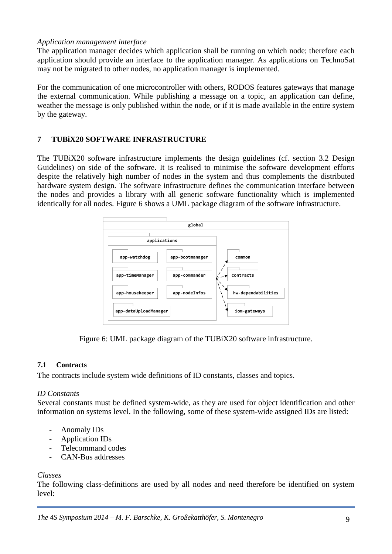#### *Application management interface*

The application manager decides which application shall be running on which node; therefore each application should provide an interface to the application manager. As applications on TechnoSat may not be migrated to other nodes, no application manager is implemented.

For the communication of one microcontroller with others, RODOS features gateways that manage the external communication. While publishing a message on a topic, an application can define, weather the message is only published within the node, or if it is made available in the entire system by the gateway.

## **7 TUBiX20 SOFTWARE INFRASTRUCTURE**

The TUBiX20 software infrastructure implements the design guidelines (cf. section [3.2](#page-3-0) [Design](#page-3-0)  [Guidelines\)](#page-3-0) on side of the software. It is realised to minimise the software development efforts despite the relatively high number of nodes in the system and thus complements the distributed hardware system design. The software infrastructure defines the communication interface between the nodes and provides a library with all generic software functionality which is implemented identically for all nodes. Figure 6 shows a UML package diagram of the software infrastructure.



Figure 6: UML package diagram of the TUBiX20 software infrastructure.

## **7.1 Contracts**

The contracts include system wide definitions of ID constants, classes and topics.

## *ID Constants*

Several constants must be defined system-wide, as they are used for object identification and other information on systems level. In the following, some of these system-wide assigned IDs are listed:

- Anomaly IDs
- Application IDs
- Telecommand codes
- CAN-Bus addresses

#### *Classes*

The following class-definitions are used by all nodes and need therefore be identified on system level: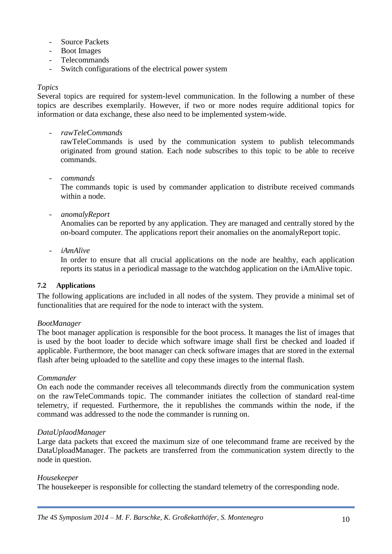- Source Packets
- Boot Images
- Telecommands
- Switch configurations of the electrical power system

#### *Topics*

Several topics are required for system-level communication. In the following a number of these topics are describes exemplarily. However, if two or more nodes require additional topics for information or data exchange, these also need to be implemented system-wide.

- *rawTeleCommands*

rawTeleCommands is used by the communication system to publish telecommands originated from ground station. Each node subscribes to this topic to be able to receive commands.

- *commands*

The commands topic is used by commander application to distribute received commands within a node.

- *anomalyReport*

Anomalies can be reported by any application. They are managed and centrally stored by the on-board computer. The applications report their anomalies on the anomalyReport topic.

- *iAmAlive*

In order to ensure that all crucial applications on the node are healthy, each application reports its status in a periodical massage to the watchdog application on the iAmAlive topic.

#### **7.2 Applications**

The following applications are included in all nodes of the system. They provide a minimal set of functionalities that are required for the node to interact with the system.

#### *BootManager*

The boot manager application is responsible for the boot process. It manages the list of images that is used by the boot loader to decide which software image shall first be checked and loaded if applicable. Furthermore, the boot manager can check software images that are stored in the external flash after being uploaded to the satellite and copy these images to the internal flash.

#### *Commander*

On each node the commander receives all telecommands directly from the communication system on the rawTeleCommands topic. The commander initiates the collection of standard real-time telemetry, if requested. Furthermore, the it republishes the commands within the node, if the command was addressed to the node the commander is running on.

#### *DataUplaodManager*

Large data packets that exceed the maximum size of one telecommand frame are received by the DataUploadManager. The packets are transferred from the communication system directly to the node in question.

#### *Housekeeper*

The housekeeper is responsible for collecting the standard telemetry of the corresponding node.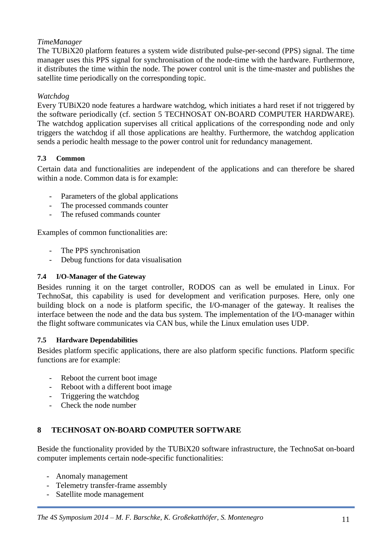## *TimeManager*

The TUBiX20 platform features a system wide distributed pulse-per-second (PPS) signal. The time manager uses this PPS signal for synchronisation of the node-time with the hardware. Furthermore, it distributes the time within the node. The power control unit is the time-master and publishes the satellite time periodically on the corresponding topic.

## *Watchdog*

Every TUBiX20 node features a hardware watchdog, which initiates a hard reset if not triggered by the software periodically (cf. section [5](#page-5-0) [TECHNOSAT ON-BOARD COMPUTER](#page-5-0) HARDWARE). The watchdog application supervises all critical applications of the corresponding node and only triggers the watchdog if all those applications are healthy. Furthermore, the watchdog application sends a periodic health message to the power control unit for redundancy management.

## **7.3 Common**

Certain data and functionalities are independent of the applications and can therefore be shared within a node. Common data is for example:

- Parameters of the global applications
- The processed commands counter
- The refused commands counter

Examples of common functionalities are:

- The PPS synchronisation
- Debug functions for data visualisation

#### **7.4 I/O-Manager of the Gateway**

Besides running it on the target controller, RODOS can as well be emulated in Linux. For TechnoSat, this capability is used for development and verification purposes. Here, only one building block on a node is platform specific, the I/O-manager of the gateway. It realises the interface between the node and the data bus system. The implementation of the I/O-manager within the flight software communicates via CAN bus, while the Linux emulation uses UDP.

#### **7.5 Hardware Dependabilities**

Besides platform specific applications, there are also platform specific functions. Platform specific functions are for example:

- Reboot the current boot image
- Reboot with a different boot image
- Triggering the watchdog
- Check the node number

## **8 TECHNOSAT ON-BOARD COMPUTER SOFTWARE**

Beside the functionality provided by the TUBiX20 software infrastructure, the TechnoSat on-board computer implements certain node-specific functionalities:

- Anomaly management
- Telemetry transfer-frame assembly
- Satellite mode management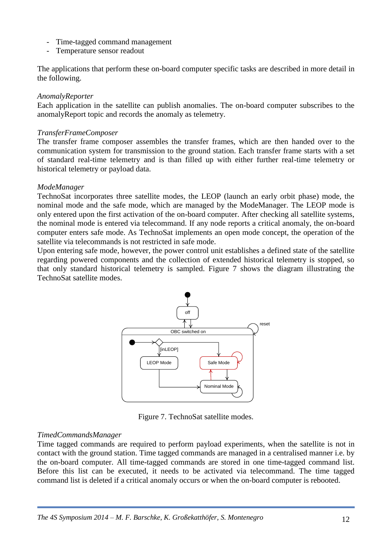- Time-tagged command management
- Temperature sensor readout

The applications that perform these on-board computer specific tasks are described in more detail in the following.

#### *AnomalyReporter*

Each application in the satellite can publish anomalies. The on-board computer subscribes to the anomalyReport topic and records the anomaly as telemetry.

#### *TransferFrameComposer*

The transfer frame composer assembles the transfer frames, which are then handed over to the communication system for transmission to the ground station. Each transfer frame starts with a set of standard real-time telemetry and is than filled up with either further real-time telemetry or historical telemetry or payload data.

#### *ModeManager*

TechnoSat incorporates three satellite modes, the LEOP (launch an early orbit phase) mode, the nominal mode and the safe mode, which are managed by the ModeManager. The LEOP mode is only entered upon the first activation of the on-board computer. After checking all satellite systems, the nominal mode is entered via telecommand. If any node reports a critical anomaly, the on-board computer enters safe mode. As TechnoSat implements an open mode concept, the operation of the satellite via telecommands is not restricted in safe mode.

Upon entering safe mode, however, the power control unit establishes a defined state of the satellite regarding powered components and the collection of extended historical telemetry is stopped, so that only standard historical telemetry is sampled. Figure 7 shows the diagram illustrating the TechnoSat satellite modes.



Figure 7. TechnoSat satellite modes.

## *TimedCommandsManager*

Time tagged commands are required to perform payload experiments, when the satellite is not in contact with the ground station. Time tagged commands are managed in a centralised manner i.e. by the on-board computer. All time-tagged commands are stored in one time-tagged command list. Before this list can be executed, it needs to be activated via telecommand. The time tagged command list is deleted if a critical anomaly occurs or when the on-board computer is rebooted.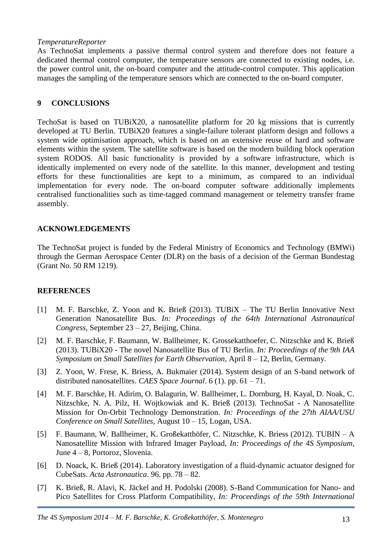#### *TemperatureReporter*

As TechnoSat implements a passive thermal control system and therefore does not feature a dedicated thermal control computer, the temperature sensors are connected to existing nodes, i.e. the power control unit, the on-board computer and the attitude-control computer. This application manages the sampling of the temperature sensors which are connected to the on-board computer.

#### **9 CONCLUSIONS**

TechoSat is based on TUBiX20, a nanosatellite platform for 20 kg missions that is currently developed at TU Berlin. TUBiX20 features a single-failure tolerant platform design and follows a system wide optimisation approach, which is based on an extensive reuse of hard and software elements within the system. The satellite software is based on the modern building block operation system RODOS. All basic functionality is provided by a software infrastructure, which is identically implemented on every node of the satellite. In this manner, development and testing efforts for these functionalities are kept to a minimum, as compared to an individual implementation for every node. The on-board computer software additionally implements centralised functionalities such as time-tagged command management or telemetry transfer frame assembly.

## **ACKNOWLEDGEMENTS**

The TechnoSat project is funded by the Federal Ministry of Economics and Technology (BMWi) through the German Aerospace Center (DLR) on the basis of a decision of the German Bundestag (Grant No. 50 RM 1219).

## **REFERENCES**

- [1] M. F. Barschke, Z. Yoon and K. Brieß (2013). TUBiX The TU Berlin Innovative Next Generation Nanosatellite Bus. *In: Proceedings of the 64th International Astronautical Congress*, September 23 – 27, Beijing, China.
- [2] M. F. Barschke, F. Baumann, W. Ballheimer, K. Grossekatthoefer, C. Nitzschke and K. Brieß (2013). TUBiX20 - The novel Nanosatellite Bus of TU Berlin. *In: Proceedings of the 9th IAA Symposium on Small Satellites for Earth Observation*, April 8 – 12, Berlin, Germany.
- [3] Z. Yoon, W. Frese, K. Briess, A. Bukmaier (2014). System design of an S-band network of distributed nanosatellites. *CAES Space Journal*. 6 (1). pp. 61 – 71.
- [4] M. F. Barschke, H. Adirim, O. Balagurin, W. Ballheimer, L. Dornburg, H. Kayal, D. Noak, C. Nitzschke, N. A. Pilz, H. Wojtkowiak and K. Brieß (2013). TechnoSat - A Nanosatellite Mission for On-Orbit Technology Demonstration. *In: Proceedings of the 27th AIAA/USU Conference on Small Satellites*, August 10 – 15, Logan, USA.
- [5] F. Baumann, W. Ballheimer, K. Großekatthöfer, C. Nitzschke, K. Briess (2012). TUBIN A Nanosatellite Mission with Infrared Imager Payload, *In: Proceedings of the 4S Symposium*, June 4 – 8, Portoroz, Slovenia.
- [6] D. Noack, K. Brieß (2014). Laboratory investigation of a fluid-dynamic actuator designed for CubeSats. *Acta Astronautica*. 96. pp. 78 – 82.
- [7] K. Brieß, R. Alavi, K. Jäckel and H. Podolski (2008). S-Band Communication for Nano- and Pico Satellites for Cross Platform Compatibility*, In: Proceedings of the 59th International*